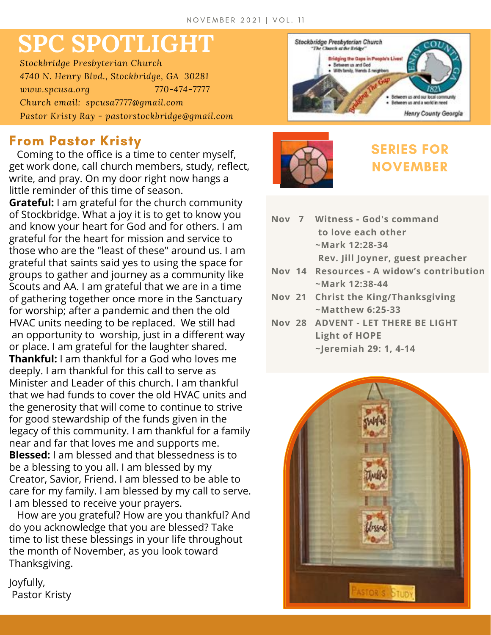# **SPC SPOTLIGHT**

*Stockbridge Presbyterian Church 4740 N. Henry Blvd., Stockbridge, GA 30281 www.spcusa.org 770-474-7777 Church email: spcusa7777@gmail.com Pastor Kristy Ray - pastorstockbridge@gmail.com*

### **From Pastor Kristy**

Coming to the office is a time to center myself, get work done, call church members, study, reflect, write, and pray. On my door right now hangs a little reminder of this time of season.

**Grateful:** I am grateful for the church community of Stockbridge. What a joy it is to get to know you and know your heart for God and for others. I am grateful for the heart for mission and service to those who are the "least of these" around us. I am grateful that saints said yes to using the space for groups to gather and journey as a community like Scouts and AA. I am grateful that we are in a time of gathering together once more in the Sanctuary for worship; after a pandemic and then the old HVAC units needing to be replaced. We still had an opportunity to worship, just in a different way or place. I am grateful for the laughter shared. **Thankful:** I am thankful for a God who loves me deeply. I am thankful for this call to serve as Minister and Leader of this church. I am thankful that we had funds to cover the old HVAC units and the generosity that will come to continue to strive for good stewardship of the funds given in the legacy of this community. I am thankful for a family near and far that loves me and supports me. **Blessed:** I am blessed and that blessedness is to be a blessing to you all. I am blessed by my Creator, Savior, Friend. I am blessed to be able to care for my family. I am blessed by my call to serve. I am blessed to receive your prayers.

How are you grateful? How are you thankful? And do you acknowledge that you are blessed? Take time to list these blessings in your life throughout the month of November, as you look toward Thanksgiving.





## **SERIES FOR NOVEMBER**

- **Nov 7 Witness - God's command to love each other ~Mark 12:28-34 Rev. Jill Joyner, guest preacher**
- **Nov 14 Resources - A widow's contribution ~Mark 12:38-44**
- **Nov 21 Christ the King/Thanksgiving ~Matthew 6:25-33**
- **Nov 28 ADVENT - LET THERE BE LIGHT Light of HOPE ~Jeremiah 29: 1, 4-14**



Joyfully, Pastor Kristy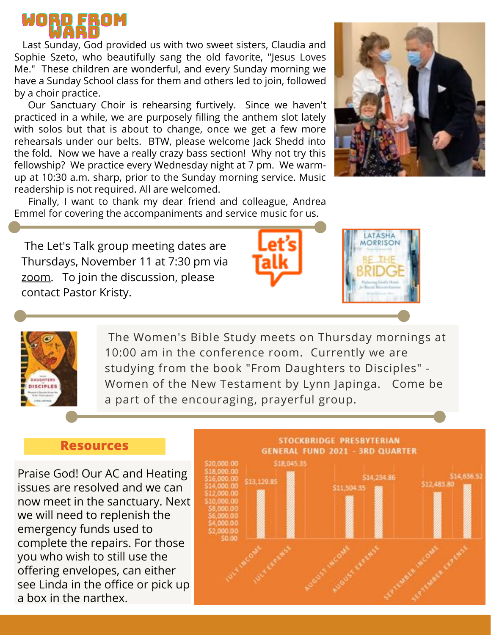

Last Sunday, God provided us with two sweet sisters, Claudia and Sophie Szeto, who beautifully sang the old favorite, "Jesus Loves Me." These children are wonderful, and every Sunday morning we have a Sunday School class for them and others led to join, followed by a choir practice.

Our Sanctuary Choir is rehearsing furtively. Since we haven't practiced in a while, we are purposely filling the anthem slot lately with solos but that is about to change, once we get a few more rehearsals under our belts. BTW, please welcome Jack Shedd into the fold. Now we have a really crazy bass section! Why not try this fellowship? We practice every Wednesday night at 7 pm. We warmup at 10:30 a.m. sharp, prior to the Sunday morning service. Music readership is not required. All are welcomed.





The Let's Talk group meeting dates are Thursdays, November 11 at 7:30 pm via [zoom.](https://zoom.us/j/94536239897?pwd=dm55aWllbUlkL0RnRzRhR0NBeUp1QT09#success) To join the discussion, please contact Pastor Kristy.







The Women's Bible Study meets on Thursday mornings at 10:00 am in the conference room. Currently we are studying from the book "From Daughters to Disciples" - Women of the New Testament by Lynn Japinga. Come be a part of the encouraging, prayerful group.

#### **Resources**

Praise God! Our AC and Heating issues are resolved and we can now meet in the sanctuary. Next we will need to replenish the emergency funds used to complete the repairs. For those you who wish to still use the offering envelopes, can either see Linda in the office or pick up a box in the narthex.



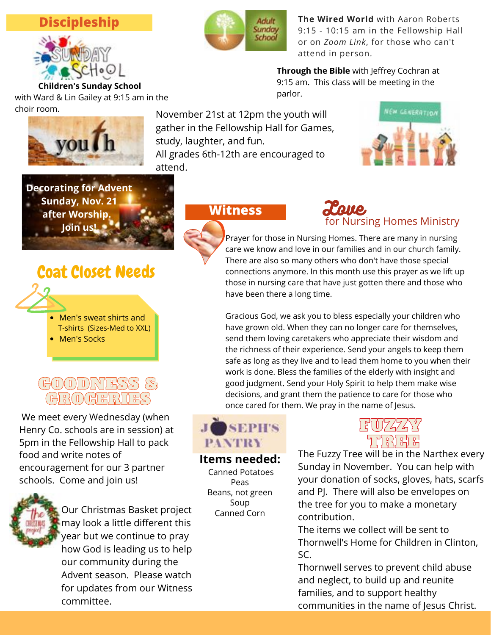#### **Discipleship**



with Ward & Lin Gailey at 9:15 am in the choir room.



**The Wired World** with Aaron Roberts 9:15 - 10:15 am in the Fellowship Hall or on *[Zoom](https://us06web.zoom.us/j/95920871825?pwd=UERxYUY5TGxKcEQrcnphcnF2US9xdz09#success) Link*, for those who can't attend in person.

**Through the Bible** with Jeffrey Cochran at 9:15 am. This class will be meeting in the parlor.

you h attend.

November 21st at 12pm the youth will gather in the Fellowship Hall for Games, study, laughter, and fun. All grades 6th-12th are encouraged to





# Coat Closet Needs



• Men's Socks

## GOODNESS & GROCERIES

We meet every Wednesday (when Henry Co. schools are in session) at 5pm in the Fellowship Hall to pack food and write notes of encouragement for our 3 partner schools. Come and join us!



Our Christmas Basket project may look a little different this year but we continue to pray how God is leading us to help our community during the Advent season. Please watch for updates from our Witness committee.

**Witness**



Prayer for those in Nursing Homes. There are many in nursing care we know and love in our families and in our church family. There are also so many others who don't have those special connections anymore. In this month use this prayer as we lift up those in nursing care that have just gotten there and those who have been there a long time.

Gracious God, we ask you to bless especially your children who have grown old. When they can no longer care for themselves, send them loving caretakers who appreciate their wisdom and the richness of their experience. Send your angels to keep them safe as long as they live and to lead them home to you when their work is done. Bless the families of the elderly with insight and good judgment. Send your Holy Spirit to help them make wise decisions, and grant them the patience to care for those who once cared for them. We pray in the name of Jesus.

# SEPH'S **PANTRY**

**Items needed:** Canned Potatoes Peas

Beans, not green Soup Canned Corn

# FUZZY TURI EE

The Fuzzy Tree will be in the Narthex every Sunday in November. You can help with your donation of socks, gloves, hats, scarfs and PJ. There will also be envelopes on the tree for you to make a monetary contribution.

The items we collect will be sent to Thornwell's Home for Children in Clinton, SC.

Thornwell serves to prevent child abuse and neglect, to build up and reunite families, and to support healthy communities in the name of Jesus Christ.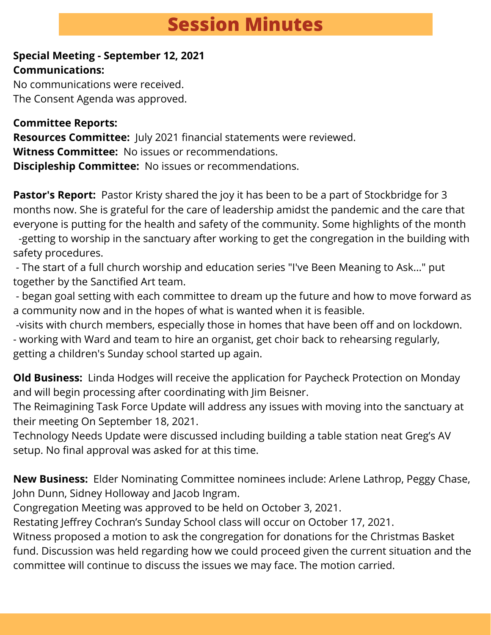# **Session Minutes**

#### **Special Meeting - September 12, 2021 Communications:**

No communications were received. The Consent Agenda was approved.

#### **Committee Reports:**

**Resources Committee:** July 2021 financial statements were reviewed. **Witness Committee:** No issues or recommendations. **Discipleship Committee:** No issues or recommendations.

**Pastor's Report:** Pastor Kristy shared the joy it has been to be a part of Stockbridge for 3 months now. She is grateful for the care of leadership amidst the pandemic and the care that everyone is putting for the health and safety of the community. Some highlights of the month

-getting to worship in the sanctuary after working to get the congregation in the building with safety procedures.

- The start of a full church worship and education series "I've Been Meaning to Ask..." put together by the Sanctified Art team.

- began goal setting with each committee to dream up the future and how to move forward as a community now and in the hopes of what is wanted when it is feasible.

-visits with church members, especially those in homes that have been off and on lockdown. - working with Ward and team to hire an organist, get choir back to rehearsing regularly, getting a children's Sunday school started up again.

**Old Business:** Linda Hodges will receive the application for Paycheck Protection on Monday and will begin processing after coordinating with Jim Beisner.

The Reimagining Task Force Update will address any issues with moving into the sanctuary at their meeting On September 18, 2021.

Technology Needs Update were discussed including building a table station neat Greg's AV setup. No final approval was asked for at this time.

**New Business:** Elder Nominating Committee nominees include: Arlene Lathrop, Peggy Chase, John Dunn, Sidney Holloway and Jacob Ingram.

Congregation Meeting was approved to be held on October 3, 2021.

Restating Jeffrey Cochran's Sunday School class will occur on October 17, 2021.

Witness proposed a motion to ask the congregation for donations for the Christmas Basket fund. Discussion was held regarding how we could proceed given the current situation and the committee will continue to discuss the issues we may face. The motion carried.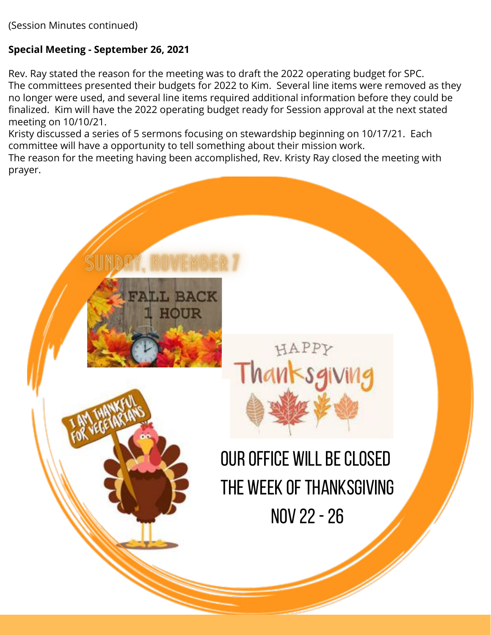(Session Minutes continued)

#### **Special Meeting - September 26, 2021**

Rev. Ray stated the reason for the meeting was to draft the 2022 operating budget for SPC. The committees presented their budgets for 2022 to Kim. Several line items were removed as they no longer were used, and several line items required additional information before they could be finalized. Kim will have the 2022 operating budget ready for Session approval at the next stated meeting on 10/10/21.

Kristy discussed a series of 5 sermons focusing on stewardship beginning on 10/17/21. Each committee will have a opportunity to tell something about their mission work.

The reason for the meeting having been accomplished, Rev. Kristy Ray closed the meeting with prayer.